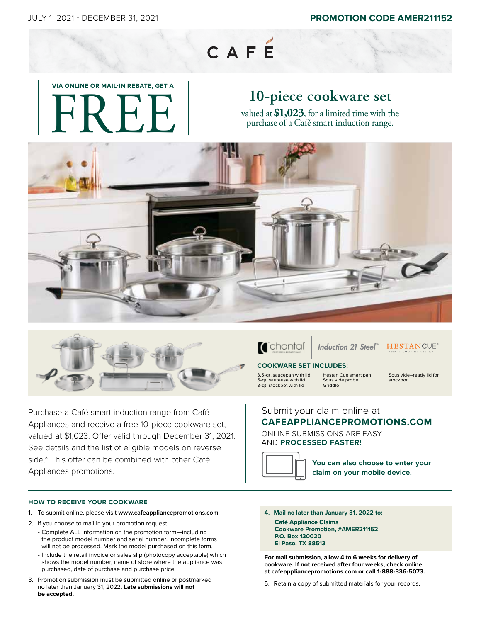## CAFE

# **VIA ONLINE OR MAIL-IN REBATE, GET A**  FREE

## **10-piece cookware set**

valued at**\$1,023**, for a limited time with the purchase of a Café smart induction range.





Purchase a Café smart induction range from Café Appliances and receive a free 10-piece cookware set, valued at \$1,023. Offer valid through December 31, 2021. See details and the list of eligible models on reverse side.\* This offer can be combined with other Café Appliances promotions.

#### **HOW TO RECEIVE YOUR COOKWARE**

- 1. To submit online, please visit **www.cafeappliancepromotions.com**.
- 2. If you choose to mail in your promotion request:
	- Complete ALL information on the promotion form—including the product model number and serial number. Incomplete forms will not be processed. Mark the model purchased on this form.
	- Include the retail invoice or sales slip (photocopy acceptable) which shows the model number, name of store where the appliance was purchased, date of purchase and purchase price.
- 3. Promotion submission must be submitted online or postmarked no later than January 31, 2022. **Late submissions will not be accepted.**



*Induction 21 Steel ™*

### **HESTANCUE**

#### **COOKWARE SET INCLUDES:**

3.5-qt. saucepan with lid 5-qt. sauteuse with lid 8-qt. stockpot with lid Hestan Cue smart pan Sous vide probe Griddle

Sous vide–ready lid for stockpot

#### Submit your claim online at **CAFEAPPLIANCEPROMOTIONS.COM**

ONLINE SUBMISSIONS ARE EASY AND **PROCESSED FASTER!**



**You can also choose to enter your claim on your mobile device.**

- **4. Mail no later than January 31, 2022 to:**
	- **Café Appliance Claims Cookware Promotion, #AMER211152 P.O. Box 130020 El Paso, TX 88513**

**For mail submission, allow 4 to 6 weeks for delivery of cookware. If not received after four weeks, check online at cafeappliancepromotions.com or call 1-888-336-5073.**

5. Retain a copy of submitted materials for your records.